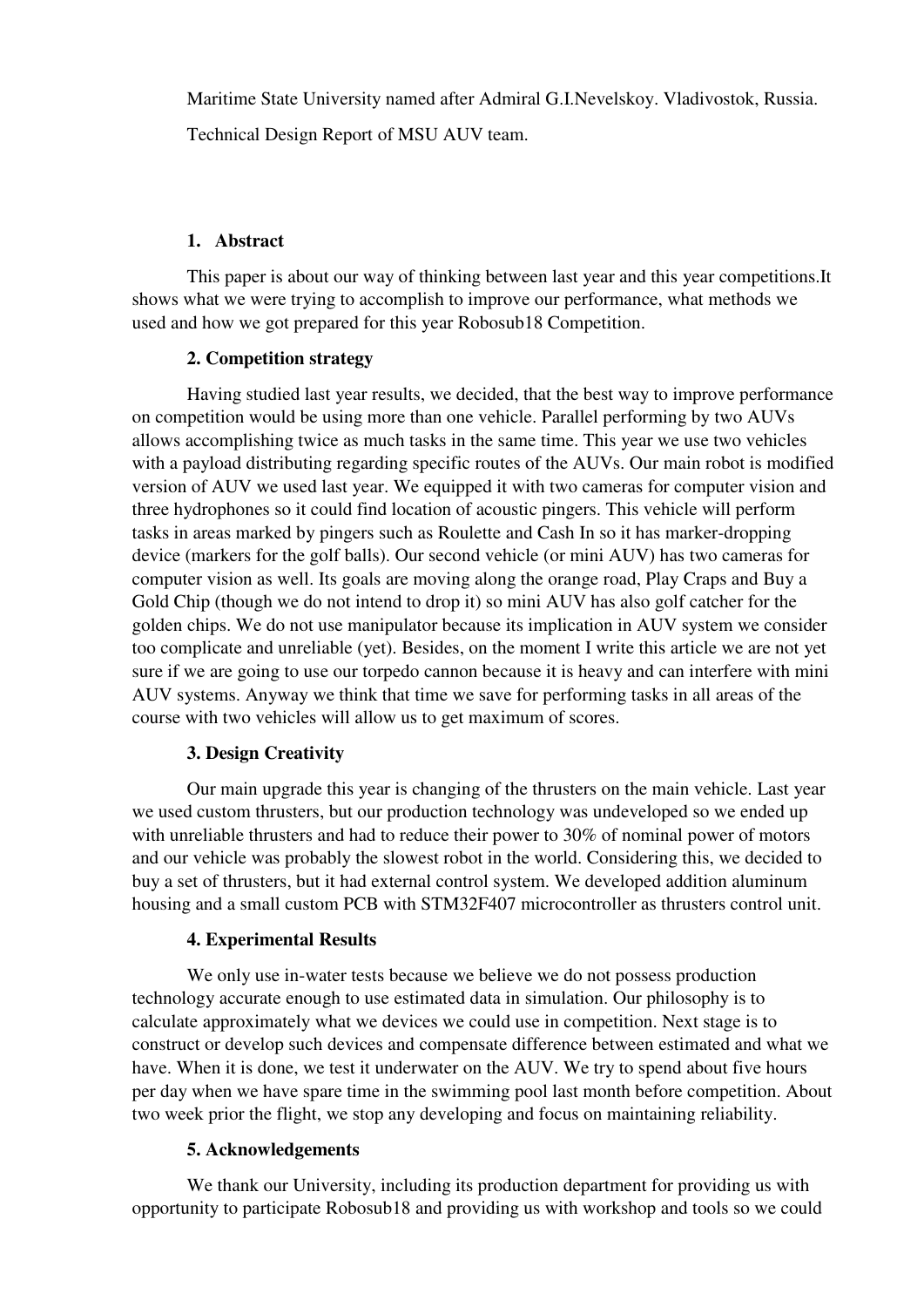Maritime State University named after Admiral G.I.Nevelskoy. Vladivostok, Russia.

Technical Design Report of MSU AUV team.

#### **1. Abstract**

This paper is about our way of thinking between last year and this year competitions.It shows what we were trying to accomplish to improve our performance, what methods we used and how we got prepared for this year Robosub18 Competition.

## **2. Competition strategy**

Having studied last year results, we decided, that the best way to improve performance on competition would be using more than one vehicle. Parallel performing by two AUVs allows accomplishing twice as much tasks in the same time. This year we use two vehicles with a payload distributing regarding specific routes of the AUVs. Our main robot is modified version of AUV we used last year. We equipped it with two cameras for computer vision and three hydrophones so it could find location of acoustic pingers. This vehicle will perform tasks in areas marked by pingers such as Roulette and Cash In so it has marker-dropping device (markers for the golf balls). Our second vehicle (or mini AUV) has two cameras for computer vision as well. Its goals are moving along the orange road, Play Craps and Buy a Gold Chip (though we do not intend to drop it) so mini AUV has also golf catcher for the golden chips. We do not use manipulator because its implication in AUV system we consider too complicate and unreliable (yet). Besides, on the moment I write this article we are not yet sure if we are going to use our torpedo cannon because it is heavy and can interfere with mini AUV systems. Anyway we think that time we save for performing tasks in all areas of the course with two vehicles will allow us to get maximum of scores.

## **3. Design Creativity**

Our main upgrade this year is changing of the thrusters on the main vehicle. Last year we used custom thrusters, but our production technology was undeveloped so we ended up with unreliable thrusters and had to reduce their power to 30% of nominal power of motors and our vehicle was probably the slowest robot in the world. Considering this, we decided to buy a set of thrusters, but it had external control system. We developed addition aluminum housing and a small custom PCB with STM32F407 microcontroller as thrusters control unit.

## **4. Experimental Results**

We only use in-water tests because we believe we do not possess production technology accurate enough to use estimated data in simulation. Our philosophy is to calculate approximately what we devices we could use in competition. Next stage is to construct or develop such devices and compensate difference between estimated and what we have. When it is done, we test it underwater on the AUV. We try to spend about five hours per day when we have spare time in the swimming pool last month before competition. About two week prior the flight, we stop any developing and focus on maintaining reliability.

## **5. Acknowledgements**

 We thank our University, including its production department for providing us with opportunity to participate Robosub18 and providing us with workshop and tools so we could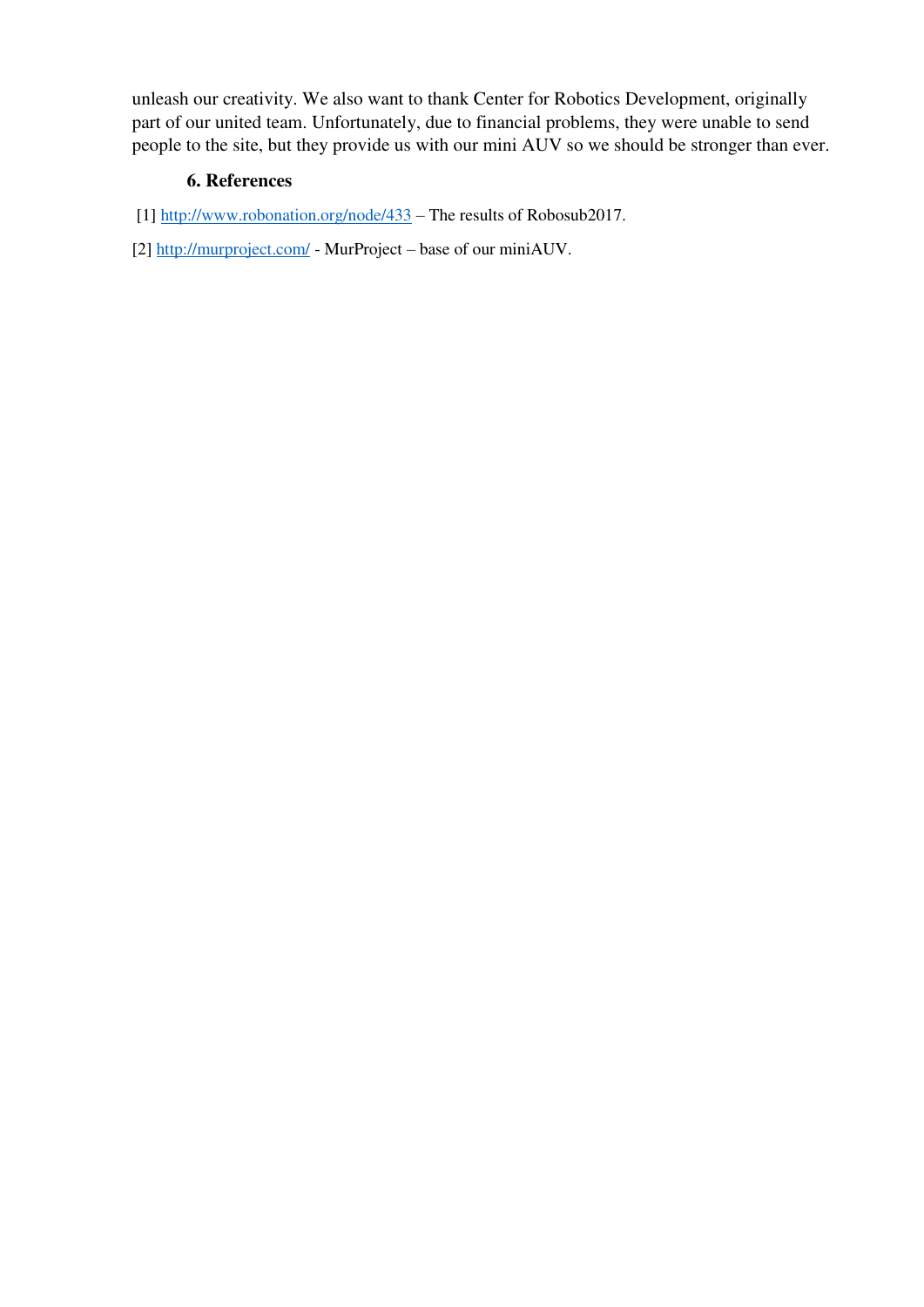unleash our creativity. We also want to thank Center for Robotics Development, originally part of our united team. Unfortunately, due to financial problems, they were unable to send people to the site, but they provide us with our mini AUV so we should be stronger than ever.

#### **6. References**

- [1]<http://www.robonation.org/node/433> The results of Robosub2017.
- [2[\] http://murproject.com/](http://murproject.com/)  MurProject base of our miniAUV.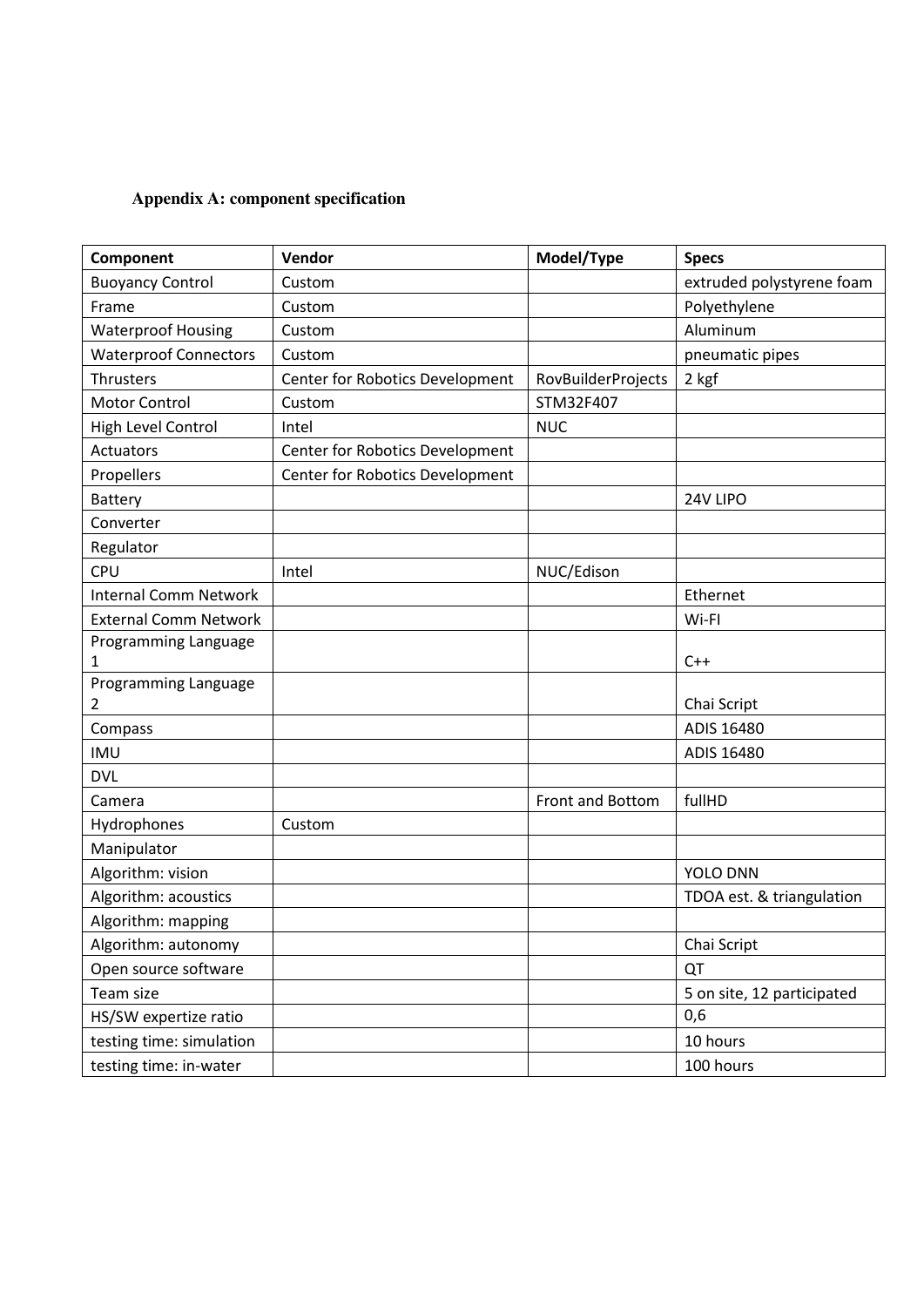# **Appendix A: component specification**

| Component                    | Vendor                          | Model/Type         | <b>Specs</b>               |
|------------------------------|---------------------------------|--------------------|----------------------------|
| <b>Buoyancy Control</b>      | Custom                          |                    | extruded polystyrene foam  |
| Frame                        | Custom                          |                    | Polyethylene               |
| <b>Waterproof Housing</b>    | Custom                          |                    | Aluminum                   |
| <b>Waterproof Connectors</b> | Custom                          |                    | pneumatic pipes            |
| <b>Thrusters</b>             | Center for Robotics Development | RovBuilderProjects | 2 kgf                      |
| Motor Control                | Custom                          | STM32F407          |                            |
| High Level Control           | Intel                           | <b>NUC</b>         |                            |
| Actuators                    | Center for Robotics Development |                    |                            |
| Propellers                   | Center for Robotics Development |                    |                            |
| <b>Battery</b>               |                                 |                    | 24V LIPO                   |
| Converter                    |                                 |                    |                            |
| Regulator                    |                                 |                    |                            |
| CPU                          | Intel                           | NUC/Edison         |                            |
| <b>Internal Comm Network</b> |                                 |                    | Ethernet                   |
| <b>External Comm Network</b> |                                 |                    | Wi-FI                      |
| Programming Language         |                                 |                    |                            |
| 1                            |                                 |                    | $C++$                      |
| Programming Language         |                                 |                    |                            |
| 2                            |                                 |                    | Chai Script<br>ADIS 16480  |
| Compass                      |                                 |                    |                            |
| <b>IMU</b>                   |                                 |                    | ADIS 16480                 |
| <b>DVL</b>                   |                                 |                    |                            |
| Camera                       |                                 | Front and Bottom   | fullHD                     |
| Hydrophones                  | Custom                          |                    |                            |
| Manipulator                  |                                 |                    |                            |
| Algorithm: vision            |                                 |                    | YOLO DNN                   |
| Algorithm: acoustics         |                                 |                    | TDOA est. & triangulation  |
| Algorithm: mapping           |                                 |                    |                            |
| Algorithm: autonomy          |                                 |                    | Chai Script                |
| Open source software         |                                 |                    | QT                         |
| Team size                    |                                 |                    | 5 on site, 12 participated |
| HS/SW expertize ratio        |                                 |                    | 0,6                        |
| testing time: simulation     |                                 |                    | 10 hours                   |
| testing time: in-water       |                                 |                    | 100 hours                  |